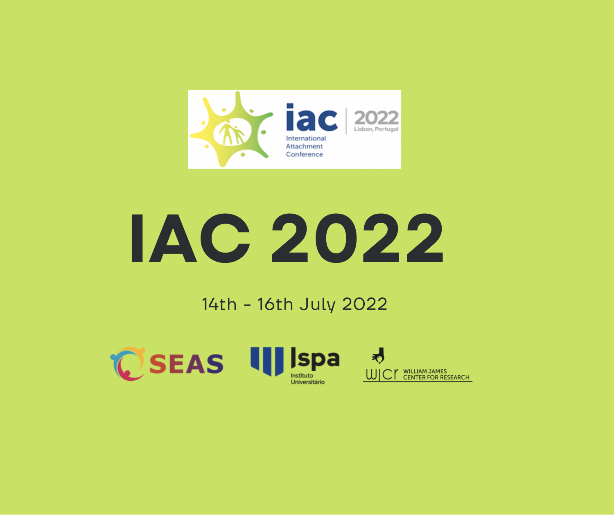

# **IAC 2022**

#### 14th - 16th July 2022

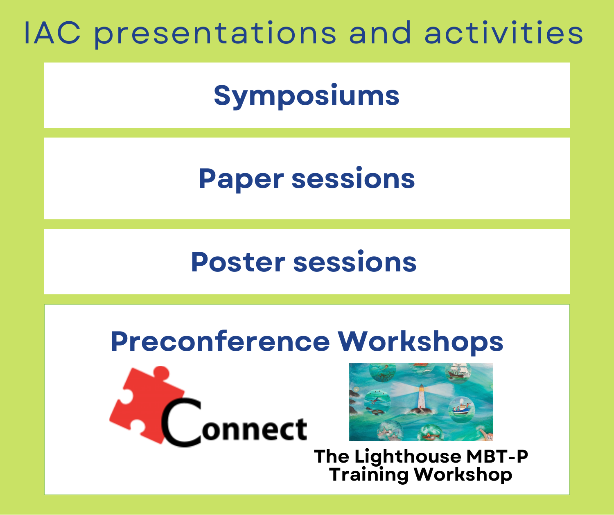# IAC presentations and activities

**Symposiums**

**Paper sessions**

# **Poster sessions**

## **Preconference Workshops**





**The Lighthouse MBT-P Training Workshop**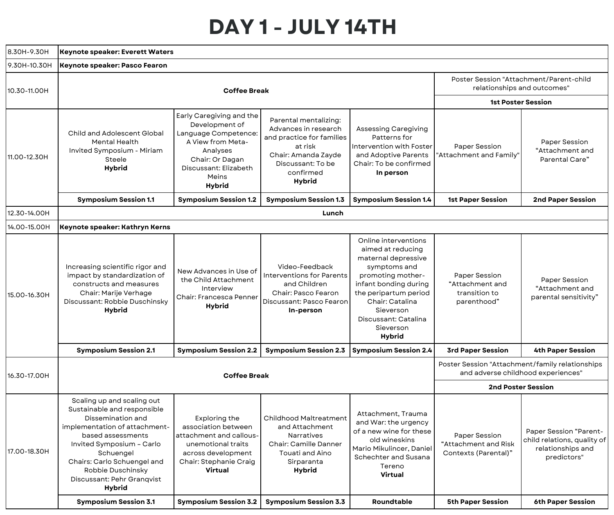#### **DAY 1 - JULY 14TH**

| 8.30H-9.30H  | <b>Keynote speaker: Everett Waters</b>                                                                                                                                                                                                                                     |                                                                                                                                                                                  |                                                                                                                                                                 |                                                                                                                                                                                                                                        |                                                                  |                                                                                                  |  |  |
|--------------|----------------------------------------------------------------------------------------------------------------------------------------------------------------------------------------------------------------------------------------------------------------------------|----------------------------------------------------------------------------------------------------------------------------------------------------------------------------------|-----------------------------------------------------------------------------------------------------------------------------------------------------------------|----------------------------------------------------------------------------------------------------------------------------------------------------------------------------------------------------------------------------------------|------------------------------------------------------------------|--------------------------------------------------------------------------------------------------|--|--|
| 9.30H-10.30H | Keynote speaker: Pasco Fearon                                                                                                                                                                                                                                              |                                                                                                                                                                                  |                                                                                                                                                                 |                                                                                                                                                                                                                                        |                                                                  |                                                                                                  |  |  |
| 10.30-11.00H |                                                                                                                                                                                                                                                                            | Poster Session "Attachment/Parent-child<br>relationships and outcomes"                                                                                                           |                                                                                                                                                                 |                                                                                                                                                                                                                                        |                                                                  |                                                                                                  |  |  |
|              |                                                                                                                                                                                                                                                                            | <b>1st Poster Session</b>                                                                                                                                                        |                                                                                                                                                                 |                                                                                                                                                                                                                                        |                                                                  |                                                                                                  |  |  |
| 11.00-12.30H | <b>Child and Adolescent Global</b><br><b>Mental Health</b><br>Invited Symposium - Miriam<br>Steele<br>Hybrid                                                                                                                                                               | Early Caregiving and the<br>Development of<br>Language Competence:<br>A View from Meta-<br>Analyses<br>Chair: Or Dagan<br>Discussant: Elizabeth<br><b>Meins</b><br><b>Hybrid</b> | Parental mentalizing:<br>Advances in research<br>and practice for families<br>at risk<br>Chair: Amanda Zayde<br>Discussant: To be<br>confirmed<br><b>Hybrid</b> | Assessing Caregiving<br>Patterns for<br>Intervention with Foster<br>and Adoptive Parents<br>Chair: To be confirmed<br>In person                                                                                                        | Paper Session<br>Attachment and Family"                          | Paper Session<br>"Attachment and<br>Parental Care"                                               |  |  |
|              | <b>Symposium Session 1.1</b>                                                                                                                                                                                                                                               | <b>Symposium Session 1.2</b>                                                                                                                                                     | <b>Symposium Session 1.3</b>                                                                                                                                    | <b>Symposium Session 1.4</b>                                                                                                                                                                                                           | <b>1st Paper Session</b>                                         | <b>2nd Paper Session</b>                                                                         |  |  |
| 12.30-14.00H |                                                                                                                                                                                                                                                                            |                                                                                                                                                                                  | Lunch                                                                                                                                                           |                                                                                                                                                                                                                                        |                                                                  |                                                                                                  |  |  |
| 14.00-15.00H | Keynote speaker: Kathryn Kerns                                                                                                                                                                                                                                             |                                                                                                                                                                                  |                                                                                                                                                                 |                                                                                                                                                                                                                                        |                                                                  |                                                                                                  |  |  |
| 15.00-16.30H | Increasing scientific rigor and<br>impact by standardization of<br>constructs and measures<br>Chair: Marije Verhage<br>Discussant: Robbie Duschinsky<br><b>Hybrid</b>                                                                                                      | New Advances in Use of<br>the Child Attachment<br>Interview<br>Chair: Francesca Penner<br><b>Hybrid</b>                                                                          | Video-Feedback<br><b>Interventions for Parents</b><br>and Children<br>Chair: Pasco Fearon<br>Discussant: Pasco Fearon<br>In-person                              | Online interventions<br>aimed at reducing<br>maternal depressive<br>symptoms and<br>promoting mother-<br>infant bonding during<br>the peripartum period<br>Chair: Catalina<br>Sieverson<br>Discussant: Catalina<br>Sieverson<br>Hybrid | Paper Session<br>"Attachment and<br>transition to<br>parenthood" | Paper Session<br>"Attachment and<br>parental sensitivity"                                        |  |  |
|              | <b>Symposium Session 2.1</b>                                                                                                                                                                                                                                               | <b>Symposium Session 2.2</b>                                                                                                                                                     | <b>Symposium Session 2.3</b>                                                                                                                                    | <b>Symposium Session 2.4</b>                                                                                                                                                                                                           | <b>3rd Paper Session</b>                                         | <b>4th Paper Session</b>                                                                         |  |  |
| 16.30-17.00H |                                                                                                                                                                                                                                                                            | Poster Session "Attachment/family relationships<br>and adverse childhood experiences"                                                                                            |                                                                                                                                                                 |                                                                                                                                                                                                                                        |                                                                  |                                                                                                  |  |  |
|              |                                                                                                                                                                                                                                                                            |                                                                                                                                                                                  |                                                                                                                                                                 |                                                                                                                                                                                                                                        | <b>2nd Poster Session</b>                                        |                                                                                                  |  |  |
| 17.00-18.30H | Scaling up and scaling out<br>Sustainable and responsible<br>Dissemination and<br>implementation of attachment-<br>based assessments<br>Invited Symposium - Carlo<br>Schuengel<br>Chairs: Carlo Schuengel and<br>Robbie Duschinsky<br>Discussant: Pehr Granqvist<br>Hybrid | Exploring the<br>association between<br>attachment and callous-<br>unemotional traits<br>across development<br>Chair: Stephanie Craig<br>Virtual                                 | <b>Childhood Maltreatment</b><br>and Attachment<br>Narratives<br>Chair: Camille Danner<br>Touati and Aino<br>Sirparanta<br>Hybrid                               | Attachment, Trauma<br>and War: the urgency<br>of a new wine for these<br>old wineskins<br>Mario Mikulincer, Daniel<br>Schechter and Susana<br>Tereno<br>Virtual                                                                        | Paper Session<br>"Attachment and Risk<br>Contexts (Parental)"    | <b>Paper Session "Parent-</b><br>child relations, quality of<br>relationships and<br>predictors" |  |  |
|              | <b>Symposium Session 3.1</b>                                                                                                                                                                                                                                               | <b>Symposium Session 3.2</b>                                                                                                                                                     | <b>Symposium Session 3.3</b>                                                                                                                                    | Roundtable                                                                                                                                                                                                                             | <b>5th Paper Session</b>                                         | <b>6th Paper Session</b>                                                                         |  |  |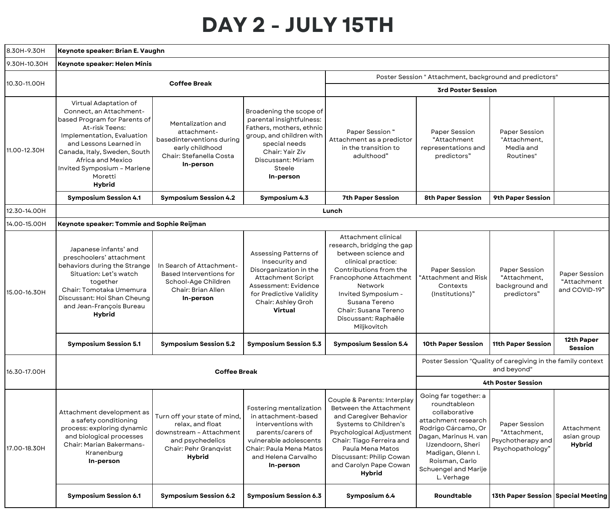#### **DAY 2 - JULY 15TH**

| 8.30H-9.30H  | Keynote speaker: Brian E. Vaughn                                                                                                                                                                                                                                                                                                |                                                                                                                          |                                                                                                                                                                                              |                                                                                                                                                                                                                                                                      |                                                                                                                                                                                                                                 |                                                                                              |                                               |  |
|--------------|---------------------------------------------------------------------------------------------------------------------------------------------------------------------------------------------------------------------------------------------------------------------------------------------------------------------------------|--------------------------------------------------------------------------------------------------------------------------|----------------------------------------------------------------------------------------------------------------------------------------------------------------------------------------------|----------------------------------------------------------------------------------------------------------------------------------------------------------------------------------------------------------------------------------------------------------------------|---------------------------------------------------------------------------------------------------------------------------------------------------------------------------------------------------------------------------------|----------------------------------------------------------------------------------------------|-----------------------------------------------|--|
| 9.30H-10.30H | Keynote speaker: Helen Minis                                                                                                                                                                                                                                                                                                    |                                                                                                                          |                                                                                                                                                                                              |                                                                                                                                                                                                                                                                      |                                                                                                                                                                                                                                 |                                                                                              |                                               |  |
| 10.30-11.00H | <b>Coffee Break</b>                                                                                                                                                                                                                                                                                                             |                                                                                                                          |                                                                                                                                                                                              | Poster Session " Attachment, background and predictors"                                                                                                                                                                                                              |                                                                                                                                                                                                                                 |                                                                                              |                                               |  |
|              |                                                                                                                                                                                                                                                                                                                                 |                                                                                                                          |                                                                                                                                                                                              | <b>3rd Poster Session</b>                                                                                                                                                                                                                                            |                                                                                                                                                                                                                                 |                                                                                              |                                               |  |
| 11.00-12.30H | Virtual Adaptation of<br>Connect, an Attachment-<br>based Program for Parents of<br>At-risk Teens:<br>Implementation, Evaluation<br>and Lessons Learned in<br>Canada, Italy, Sweden, South<br>Africa and Mexico<br>Invited Symposium - Marlene<br>Moretti<br><b>Hybrid</b>                                                      | Mentalization and<br>attachment-<br>basedinterventions during<br>early childhood<br>Chair: Stefanella Costa<br>In-person | Broadening the scope of<br>parental insightfulness:<br>Fathers, mothers, ethnic<br>group, and children with<br>special needs<br>Chair: Yair Ziv<br>Discussant: Miriam<br>Steele<br>In-person | Paper Session "<br>Attachment as a predictor<br>in the transition to<br>adulthood"                                                                                                                                                                                   | Paper Session<br>"Attachment<br>representations and<br>predictors"                                                                                                                                                              | Paper Session<br>"Attachment,<br>Media and<br>Routines"                                      |                                               |  |
|              | <b>Symposium Session 4.1</b>                                                                                                                                                                                                                                                                                                    | <b>Symposium Session 4.2</b>                                                                                             | Symposium 4.3                                                                                                                                                                                | <b>7th Paper Session</b>                                                                                                                                                                                                                                             | <b>8th Paper Session</b>                                                                                                                                                                                                        | 9th Paper Session                                                                            |                                               |  |
| 12.30-14.00H |                                                                                                                                                                                                                                                                                                                                 |                                                                                                                          |                                                                                                                                                                                              | Lunch                                                                                                                                                                                                                                                                |                                                                                                                                                                                                                                 |                                                                                              |                                               |  |
| 14.00-15.00H | Keynote speaker: Tommie and Sophie Reijman                                                                                                                                                                                                                                                                                      |                                                                                                                          |                                                                                                                                                                                              |                                                                                                                                                                                                                                                                      |                                                                                                                                                                                                                                 |                                                                                              |                                               |  |
| 15.00-16.30H | Japanese infants' and<br>preschoolers' attachment<br>behaviors during the Strange<br>Situation: Let's watch<br>together<br>Chair: Tomotaka Umemura<br>Discussant: Hoi Shan Cheung<br>and Jean-François Bureau<br><b>Hybrid</b>                                                                                                  | In Search of Attachment-<br><b>Based Interventions for</b><br>School-Age Children<br>Chair: Brian Allen<br>In-person     | Assessing Patterns of<br>Insecurity and<br>Disorganization in the<br><b>Attachment Script</b><br>Assessment: Evidence<br>for Predictive Validity<br>Chair: Ashley Groh<br>Virtual            | Attachment clinical<br>research, bridging the gap<br>between science and<br>clinical practice:<br>Contributions from the<br>Francophone Attachment<br>Network<br>Invited Symposium -<br>Susana Tereno<br>Chair: Susana Tereno<br>Discussant: Raphaële<br>Miljkovitch | Paper Session<br>'Attachment and Risk<br>Contexts<br>(Institutions)"                                                                                                                                                            | Paper Session<br>"Attachment,<br>background and<br>predictors"                               | Paper Session<br>"Attachment<br>and COVID-19" |  |
|              | <b>Symposium Session 5.1</b>                                                                                                                                                                                                                                                                                                    | <b>Symposium Session 5.2</b>                                                                                             | <b>Symposium Session 5.3</b>                                                                                                                                                                 | <b>Symposium Session 5.4</b>                                                                                                                                                                                                                                         | 10th Paper Session                                                                                                                                                                                                              | 11th Paper Session                                                                           | 12th Paper<br>Session                         |  |
| 16.30-17.00H |                                                                                                                                                                                                                                                                                                                                 | <b>Coffee Break</b>                                                                                                      |                                                                                                                                                                                              | Poster Session "Quality of caregiving in the family context<br>and beyond"                                                                                                                                                                                           |                                                                                                                                                                                                                                 |                                                                                              |                                               |  |
| 17.00-18.30H | Attachment development as<br>Turn off your state of mind,<br>a safety conditioning<br>relax, and float<br>process: exploring dynamic<br>downstream - Attachment  <br>and biological processes<br>and psychedelics<br><b>Chair: Marian Bakermans-</b><br>Chair: Pehr Granqvist<br>Kranenburg<br>Hybrid<br>In-person<br>In-person |                                                                                                                          | Fostering mentalization<br>in attachment-based<br>interventions with<br>parents/carers of<br>vulnerable adolescents<br>Chair: Paula Mena Matos<br>and Helena Carvalho                        | Couple & Parents: Interplay<br>Between the Attachment<br>and Caregiver Behavior<br>Systems to Children's<br>Psychological Adjustment<br>Chair: Tiago Ferreira and<br>Paula Mena Matos<br>Discussant: Philip Cowan<br>and Carolyn Pape Cowan<br>Hybrid                | Going far together: a<br>roundtableon<br>collaborative<br>attachment research<br>Rodrigo Cárcamo, Or<br>Dagan, Marinus H. van<br>IJzendoorn, Sheri<br>Madigan, Glenn I.<br>Roisman, Carlo<br>Schuengel and Marije<br>L. Verhage | 4th Poster Session<br>Paper Session<br>"Attachment,<br>Psychotherapy and<br>Psychopathology" | Attachment<br>asian group<br><b>Hybrid</b>    |  |
|              | <b>Symposium Session 6.1</b>                                                                                                                                                                                                                                                                                                    | <b>Symposium Session 6.2</b>                                                                                             | <b>Symposium Session 6.3</b>                                                                                                                                                                 | Symposium 6.4                                                                                                                                                                                                                                                        | Roundtable                                                                                                                                                                                                                      | 13th Paper Session Special Meeting                                                           |                                               |  |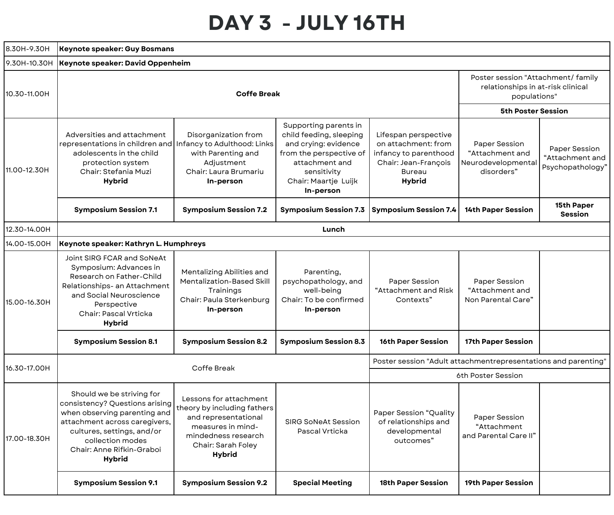#### **DAY 3 - JULY 16TH**

| 8.30H-9.30H  | <b>Keynote speaker: Guy Bosmans</b>                                                                                                                                                                                          |                                                                                                                                                                                                                                               |                                                                                                                             |                                                                                                                                                                                                                                                                                                                                                                                                                                                                                                                                                                                                                                                                                                                                                                                                                                                        |  |                                                      |  |  |
|--------------|------------------------------------------------------------------------------------------------------------------------------------------------------------------------------------------------------------------------------|-----------------------------------------------------------------------------------------------------------------------------------------------------------------------------------------------------------------------------------------------|-----------------------------------------------------------------------------------------------------------------------------|--------------------------------------------------------------------------------------------------------------------------------------------------------------------------------------------------------------------------------------------------------------------------------------------------------------------------------------------------------------------------------------------------------------------------------------------------------------------------------------------------------------------------------------------------------------------------------------------------------------------------------------------------------------------------------------------------------------------------------------------------------------------------------------------------------------------------------------------------------|--|------------------------------------------------------|--|--|
| 9.30H-10.30H | <b>Keynote speaker: David Oppenheim</b>                                                                                                                                                                                      |                                                                                                                                                                                                                                               |                                                                                                                             |                                                                                                                                                                                                                                                                                                                                                                                                                                                                                                                                                                                                                                                                                                                                                                                                                                                        |  |                                                      |  |  |
| 10.30-11.00H |                                                                                                                                                                                                                              | Poster session "Attachment/ family<br>relationships in at-risk clinical<br>populations"                                                                                                                                                       |                                                                                                                             |                                                                                                                                                                                                                                                                                                                                                                                                                                                                                                                                                                                                                                                                                                                                                                                                                                                        |  |                                                      |  |  |
|              |                                                                                                                                                                                                                              |                                                                                                                                                                                                                                               |                                                                                                                             | <b>5th Poster Session</b><br>Lifespan perspective<br>on attachment: from<br><b>Paper Session</b><br>"Attachment and<br>infancy to parenthood<br>attachment and<br>Chair: Jean-François<br>Neurodevelopmental<br>disorders"<br>sensitivity<br><b>Bureau</b><br><b>Hybrid</b><br>In-person<br><b>Symposium Session 7.4</b><br><b>14th Paper Session</b><br>Lunch<br>Parenting,<br>Paper Session<br>Paper Session<br>"Attachment and Risk<br>"Attachment and<br>well-being<br>Contexts"<br>Non Parental Care"<br>In-person<br><b>16th Paper Session</b><br>17th Paper Session<br>6th Poster Session<br><b>Paper Session "Quality</b><br>Paper Session<br>of relationships and<br>"Attachment<br>developmental<br>Pascal Vrticka<br>and Parental Care II"<br>outcomes"<br><b>Special Meeting</b><br><b>18th Paper Session</b><br><b>19th Paper Session</b> |  |                                                      |  |  |
| 11.00-12.30H | Adversities and attachment<br>$\epsilon$ representations in children and Infancy to Adulthood: Links<br>adolescents in the child<br>protection system<br>Chair: Stefania Muzi<br><b>Hybrid</b>                               | Disorganization from<br>with Parenting and<br>Adjustment<br>Chair: Laura Brumariu<br>In-person                                                                                                                                                | Supporting parents in<br>child feeding, sleeping<br>and crying: evidence<br>from the perspective of<br>Chair: Maartje Luijk |                                                                                                                                                                                                                                                                                                                                                                                                                                                                                                                                                                                                                                                                                                                                                                                                                                                        |  | Paper Session<br>"Attachment and<br>Psychopathology" |  |  |
|              | <b>Symposium Session 7.1</b>                                                                                                                                                                                                 | <b>Symposium Session 7.2</b>                                                                                                                                                                                                                  | <b>Symposium Session 7.3</b>                                                                                                |                                                                                                                                                                                                                                                                                                                                                                                                                                                                                                                                                                                                                                                                                                                                                                                                                                                        |  | 15th Paper<br><b>Session</b>                         |  |  |
| 12.30-14.00H |                                                                                                                                                                                                                              |                                                                                                                                                                                                                                               |                                                                                                                             |                                                                                                                                                                                                                                                                                                                                                                                                                                                                                                                                                                                                                                                                                                                                                                                                                                                        |  |                                                      |  |  |
| 14.00-15.00H | Keynote speaker: Kathryn L. Humphreys                                                                                                                                                                                        |                                                                                                                                                                                                                                               |                                                                                                                             |                                                                                                                                                                                                                                                                                                                                                                                                                                                                                                                                                                                                                                                                                                                                                                                                                                                        |  |                                                      |  |  |
| 15.00-16.30H | Joint SIRG FCAR and SoNeAt<br>Symposium: Advances in<br>Research on Father-Child<br>Relationships- an Attachment<br>and Social Neuroscience<br>Perspective<br>Chair: Pascal Vrticka<br><b>Hybrid</b>                         | Mentalizing Abilities and<br>Mentalization-Based Skill<br>Trainings<br>Chair: Paula Sterkenburg<br>In-person                                                                                                                                  | psychopathology, and<br>Chair: To be confirmed                                                                              |                                                                                                                                                                                                                                                                                                                                                                                                                                                                                                                                                                                                                                                                                                                                                                                                                                                        |  |                                                      |  |  |
|              | <b>Symposium Session 8.1</b>                                                                                                                                                                                                 | <b>Symposium Session 8.2</b>                                                                                                                                                                                                                  | <b>Symposium Session 8.3</b>                                                                                                |                                                                                                                                                                                                                                                                                                                                                                                                                                                                                                                                                                                                                                                                                                                                                                                                                                                        |  |                                                      |  |  |
| 16.30-17.00H |                                                                                                                                                                                                                              |                                                                                                                                                                                                                                               |                                                                                                                             | Poster session "Adult attachmentrepresentations and parenting"                                                                                                                                                                                                                                                                                                                                                                                                                                                                                                                                                                                                                                                                                                                                                                                         |  |                                                      |  |  |
|              |                                                                                                                                                                                                                              | Coffe Break<br>Lessons for attachment<br>theory by including fathers<br>and representational<br><b>SIRG SoNeAt Session</b><br>measures in mind-<br>mindedness research<br>Chair: Sarah Foley<br><b>Hybrid</b><br><b>Symposium Session 9.2</b> |                                                                                                                             |                                                                                                                                                                                                                                                                                                                                                                                                                                                                                                                                                                                                                                                                                                                                                                                                                                                        |  |                                                      |  |  |
| 17.00-18.30H | Should we be striving for<br>consistency? Questions arising<br>when observing parenting and<br>attachment across caregivers,<br>cultures, settings, and/or<br>collection modes<br>Chair: Anne Rifkin-Graboi<br><b>Hybrid</b> |                                                                                                                                                                                                                                               |                                                                                                                             |                                                                                                                                                                                                                                                                                                                                                                                                                                                                                                                                                                                                                                                                                                                                                                                                                                                        |  |                                                      |  |  |
|              | <b>Symposium Session 9.1</b>                                                                                                                                                                                                 |                                                                                                                                                                                                                                               |                                                                                                                             |                                                                                                                                                                                                                                                                                                                                                                                                                                                                                                                                                                                                                                                                                                                                                                                                                                                        |  |                                                      |  |  |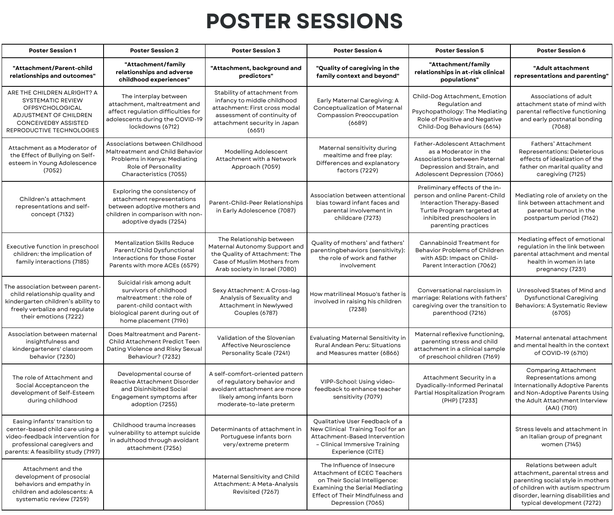#### **POSTER SESSIONS**

| <b>Poster Session 1</b>                                                                                                                                                   | <b>Poster Session 2</b>                                                                                                                                                    | <b>Poster Session 3</b>                                                                                                                                               | <b>Poster Session 4</b>                                                                                                                                                                    | <b>Poster Session 5</b>                                                                                                                                                         | <b>Poster Session 6</b>                                                                                                                                                                                  |
|---------------------------------------------------------------------------------------------------------------------------------------------------------------------------|----------------------------------------------------------------------------------------------------------------------------------------------------------------------------|-----------------------------------------------------------------------------------------------------------------------------------------------------------------------|--------------------------------------------------------------------------------------------------------------------------------------------------------------------------------------------|---------------------------------------------------------------------------------------------------------------------------------------------------------------------------------|----------------------------------------------------------------------------------------------------------------------------------------------------------------------------------------------------------|
| "Attachment/Parent-child<br>relationships and outcomes"                                                                                                                   | "Attachment/family<br>relationships and adverse<br>childhood experiences"                                                                                                  | "Attachment, background and<br>predictors"                                                                                                                            | "Quality of caregiving in the<br>family context and beyond"                                                                                                                                | "Attachment/family<br>relationships in at-risk clinical<br>populations"                                                                                                         | "Adult attachment<br>representations and parenting"                                                                                                                                                      |
| ARE THE CHILDREN ALRIGHT? A<br><b>SYSTEMATIC REVIEW</b><br><b>OFPSYCHOLOGICAL</b><br>ADJUSTMENT OF CHILDREN<br><b>CONCEIVEDBY ASSISTED</b><br>REPRODUCTIVE TECHNOLOGIES   | The interplay between<br>attachment, maltreatment and<br>affect regulation difficulties for<br>adolescents during the COVID-19<br>lockdowns (6712)                         | Stability of attachment from<br>infancy to middle childhood<br>attachment: First cross modal<br>assessment of continuity of<br>attachment security in Japan<br>(6651) | Early Maternal Caregiving: A<br>Conceptualization of Maternal<br>Compassion Preoccupation<br>(6689)                                                                                        | Child-Dog Attachment, Emotion<br>Regulation and<br>Psychopathology: The Mediating<br>Role of Positive and Negative<br>Child-Dog Behaviours (6614)                               | Associations of adult<br>attachment state of mind with<br>parental reflective functioning<br>and early postnatal bonding<br>(7068)                                                                       |
| Attachment as a Moderator of<br>the Effect of Bullying on Self-<br>esteem in Young Adolescence<br>(7052)                                                                  | Associations between Childhood<br>Maltreatment and Child Behavior<br>Problems in Kenya: Mediating<br>Role of Personality<br>Characteristics (7055)                         | Modelling Adolescent<br>Attachment with a Network<br>Approach (7059)                                                                                                  | Maternal sensitivity during<br>mealtime and free play:<br>Differences and explanatory<br>factors (7229)                                                                                    | Father-Adolescent Attachment<br>as a Moderator in the<br>Associations between Paternal<br>Depression and Strain, and<br>Adolescent Depression (7066)                            | Fathers' Attachment<br>Representations: Deleterious<br>effects of idealization of the<br>father on marital quality and<br>caregiving (7125)                                                              |
| Children's attachment<br>representations and self-<br>concept (7132)                                                                                                      | Exploring the consistency of<br>attachment representations<br>between adoptive mothers and<br>children in comparison with non-<br>adoptive dyads (7254)                    | Parent-Child-Peer Relationships<br>in Early Adolescence (7087)                                                                                                        | Association between attentional<br>bias toward infant faces and<br>parental involvement in<br>childcare (7273)                                                                             | Preliminary effects of the in-<br>person and online Parent-Child<br>Interaction Therapy-Based<br>Turtle Program targeted at<br>inhibited preschoolers in<br>parenting practices | Mediating role of anxiety on the<br>link between attachment and<br>parental burnout in the<br>postpartum period (7162)                                                                                   |
| Executive function in preschool<br>children: the implication of<br>family interactions (7185)                                                                             | <b>Mentalization Skills Reduce</b><br>Parent/Child Dysfunctional<br>Interactions for those Foster<br>Parents with more ACEs (6579)                                         | The Relationship between<br>Maternal Autonomy Support and<br>the Quality of Attachment: The<br>Case of Muslim Mothers from<br>Arab society in Israel (7080)           | Quality of mothers' and fathers'<br>parentingbehaviors (sensitivity):<br>the role of work and father<br>involvement                                                                        | Cannabinoid Treatment for<br>Behavior Problems of Children<br>with ASD: Impact on Child-<br>Parent Interaction (7062)                                                           | Mediating effect of emotional<br>regulation in the link between<br>parental attachment and mental<br>health in women in late<br>pregnancy (7231)                                                         |
| The association between parent-<br>child relationship quality and<br>kindergarten children's ability to<br>freely verbalize and regulate<br>their emotions (7222)         | Suicidal risk among adult<br>survivors of childhood<br>maltreatment : the role of<br>parent-child contact with<br>biological parent during out of<br>home placement (7196) | Sexy Attachment: A Cross-lag<br>Analysis of Sexuality and<br>Attachment in Newlywed<br><b>Couples (6787)</b>                                                          | How matrilineal Mosuo's father is<br>involved in raising his children<br>(7238)                                                                                                            | Conversational narcissism in<br>marriage: Relations with fathers'<br>caregiving over the transition to<br>parenthood (7216)                                                     | Unresolved States of Mind and<br><b>Dysfunctional Caregiving</b><br>Behaviors: A Systematic Review<br>(6705)                                                                                             |
| Association between maternal<br>insightfulness and<br>kindergarteners' classroom<br>behavior (7230)                                                                       | Does Maltreatment and Parent-<br>Child Attachment Predict Teen<br>Dating Violence and Risky Sexual<br>Behaviour? (7232)                                                    | Validation of the Slovenian<br>Affective Neuroscience<br>Personality Scale (7241)                                                                                     | <b>Evaluating Maternal Sensitivity in</b><br>Rural Andean Peru: Situations<br>and Measures matter (6866)                                                                                   | Maternal reflexive functioning,<br>parenting stress and child<br>attachment in a clinical sample<br>of preschool children (7169)                                                | Maternal antenatal attachment<br>and mental health in the context<br>of COVID-19 (6710)                                                                                                                  |
| The role of Attachment and<br>Social Acceptanceon the<br>development of Self-Esteem<br>during childhood                                                                   | Developmental course of<br>Reactive Attachment Disorder<br>and Disinhibited Social<br>Engagement symptoms after<br>adoption (7255)                                         | A self-comfort-oriented pattern<br>of regulatory behavior and<br>avoidant attachment are more<br>likely among infants born<br>moderate-to-late preterm                | VIPP-School: Using video-<br>feedback to enhance teacher<br>sensitivity (7079)                                                                                                             | Attachment Security in a<br>Dyadically-Informed Perinatal<br>Partial Hospitalization Program<br>(PHP) [7233]                                                                    | <b>Comparing Attachment</b><br>Representations among<br>Internationally Adoptive Parents<br>and Non-Adoptive Parents Using<br>the Adult Attachment Interview<br>(AAI) (7101)                             |
| Easing infants' transition to<br>center-based child care using a<br>video-feedback intervention for<br>professional caregivers and<br>parents: A feasibility study (7197) | Childhood trauma increases<br>vulnerability to attempt suicide<br>in adulthood through avoidant<br>attachment (7256)                                                       | Determinants of attachment in<br>Portuguese infants born<br>very/extreme preterm                                                                                      | Oualitative User Feedback of a<br>New Clinical Training Tool for an<br>Attachment-Based Intervention<br>- Clinical Immersive Training<br>Experience (CITE)                                 |                                                                                                                                                                                 | Stress levels and attachment in<br>an Italian group of pregnant<br>women (7145)                                                                                                                          |
| Attachment and the<br>development of prosocial<br>behaviors and empathy in<br>children and adolescents: A<br>systematic review (7259)                                     |                                                                                                                                                                            | Maternal Sensitivity and Child<br>Attachment: A Meta-Analysis<br>Revisited (7267)                                                                                     | The Influence of Insecure<br>Attachment of ECEC Teachers<br>on Their Social Intelligence:<br><b>Examining the Serial Mediating</b><br>Effect of Their Mindfulness and<br>Depression (7065) |                                                                                                                                                                                 | Relations between adult<br>attachment, parental stress and<br>parenting social style in mothers<br>of children with autism spectrum<br>disorder, learning disabilities and<br>typical development (7272) |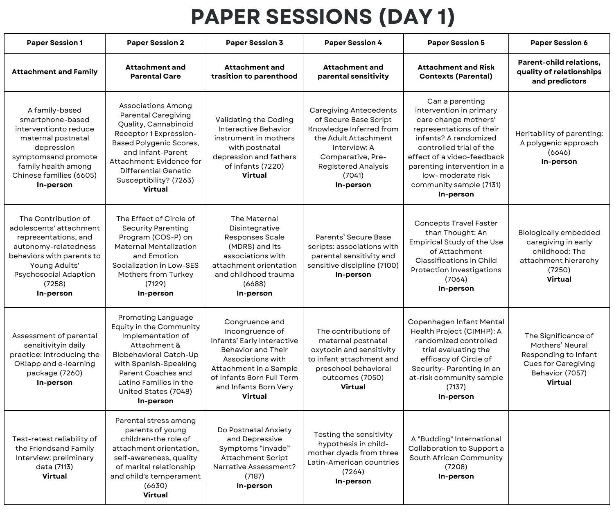## **PAPER SESSIONS (DAY 1)**

| <b>Paper Session 1</b>                                                                                                                                                                              | <b>Paper Session 2</b>                                                                                                                                                                                                                                           | <b>Paper Session 3</b>                                                                                                                                                                                | <b>Paper Session 4</b>                                                                                                                                                                              | <b>Paper Session 5</b>                                                                                                                                                                                                                                                       | <b>Paper Session 6</b>                                                                                                     |
|-----------------------------------------------------------------------------------------------------------------------------------------------------------------------------------------------------|------------------------------------------------------------------------------------------------------------------------------------------------------------------------------------------------------------------------------------------------------------------|-------------------------------------------------------------------------------------------------------------------------------------------------------------------------------------------------------|-----------------------------------------------------------------------------------------------------------------------------------------------------------------------------------------------------|------------------------------------------------------------------------------------------------------------------------------------------------------------------------------------------------------------------------------------------------------------------------------|----------------------------------------------------------------------------------------------------------------------------|
| <b>Attachment and Family</b>                                                                                                                                                                        | <b>Attachment and</b><br><b>Parental Care</b>                                                                                                                                                                                                                    | <b>Attachment and</b><br>trasition to parenthood                                                                                                                                                      | <b>Attachment and</b><br>parental sensitivity                                                                                                                                                       | <b>Attachment and Risk</b><br><b>Contexts (Parental)</b>                                                                                                                                                                                                                     | <b>Parent-child relations.</b><br>quality of relationships<br>and predictors                                               |
| A family-based<br>smartphone-based<br>interventionto reduce<br>maternal postnatal<br>depression<br>symptomsand promote<br>family health among<br>Chinese families (6605)<br>In-person               | <b>Associations Among</b><br><b>Parental Caregiving</b><br>Quality, Cannabinoid<br>Receptor 1 Expression-<br><b>Based Polygenic Scores,</b><br>and Infant-Parent<br>Attachment: Evidence for<br><b>Differential Genetic</b><br>Susceptibility? (7263)<br>Virtual | Validating the Coding<br>Interactive Behavior<br>instrument in mothers<br>with postnatal<br>depression and fathers<br>of infants (7220)<br>Virtual                                                    | <b>Caregiving Antecedents</b><br>of Secure Base Script<br>Knowledge Inferred from<br>the Adult Attachment<br>Interview: A<br>Comparative, Pre-<br><b>Registered Analysis</b><br>(7041)<br>In-person | Can a parenting<br>intervention in primary<br>care change mothers'<br>representations of their<br>infants? A randomized<br>controlled trial of the<br>effect of a video-feedback<br>parenting intervention in a<br>low-moderate risk<br>community sample (7131)<br>In-person | Heritability of parenting:<br>A polygenic approach<br>(6646)<br>In-person                                                  |
| The Contribution of<br>adolescents' attachment<br>representations, and<br>autonomy-relatedness<br>behaviors with parents to<br>Young Adults'<br><b>Psychosocial Adaption</b><br>(7258)<br>In-person | The Effect of Circle of<br><b>Security Parenting</b><br>Program (COS-P) on<br><b>Maternal Mentalization</b><br>and Emotion<br>Socialization in Low-SES<br>Mothers from Turkey<br>(7129)<br>In-person                                                             | The Maternal<br>Disintegrative<br>Responses Scale<br>(MDRS) and its<br>associations with<br>attachment orientation<br>and childhood trauma<br>(6688)<br>In-person                                     | Parents' Secure Base<br>scripts: associations with<br>parental sensitivity and<br>sensitive discipline (7100)<br>In-person                                                                          | <b>Concepts Travel Faster</b><br>than Thought: An<br><b>Empirical Study of the Use</b><br>of Attachment<br>Classifications in Child<br>Protection Investigations<br>(7064)<br>In-person                                                                                      | <b>Biologically embedded</b><br>caregiving in early<br>childhood: The<br>attachment hierarchy<br>(7250)<br>Virtual         |
| Assessment of parental<br>sensitivityin daily<br>practice: Introducing the<br>OK!app and e-learning<br>package (7260)<br>In-person                                                                  | Promoting Language<br>Equity in the Community<br>Implementation of<br>Attachment &<br>Biobehavioral Catch-Up<br>with Spanish-Speaking<br>Parent Coaches and<br>Latino Families in the<br>United States (7048)<br>In-person                                       | Congruence and<br>Incongruence of<br>Infants' Early Interactive<br>Behavior and Their<br>Associations with<br>Attachment in a Sample<br>of Infants Born Full Term<br>and Infants Born Very<br>Virtual | The contributions of<br>maternal postnatal<br>oxytocin and sensitivity<br>to infant attachment and<br>preschool behavioral<br>outcomes (7050)<br>Virtual                                            | Copenhagen Infant Mental<br>Health Project (CIMHP): A<br>randomized controlled<br>trial evaluating the<br>efficacy of Circle of<br>Security- Parenting in an<br>at-risk community sample<br>(7137)<br>In-person                                                              | The Significance of<br>Mothers' Neural<br>Responding to Infant<br><b>Cues for Caregiving</b><br>Behavior (7057)<br>Virtual |
| Test-retest reliability of<br>the Friendsand Family<br>Interview: preliminary<br>data (7113)<br>Virtual                                                                                             | Parental stress among<br>parents of young<br>children-the role of<br>attachment orientation,<br>self-awareness, quality<br>of marital relationship<br>and child's temperament<br>(6630)<br>Virtual                                                               | Do Postnatal Anxiety<br>and Depressive<br>Symptoms "invade"<br>Attachment Script<br>Narrative Assessment?<br>(7187)<br>In-person                                                                      | Testing the sensitivity<br>hypothesis in child-<br>mother dyads from three<br>Latin-American countries<br>(7264)<br>In-person                                                                       | A "Budding" International<br>Collaboration to Support a<br>South African Community<br>(7208)<br>In-person                                                                                                                                                                    |                                                                                                                            |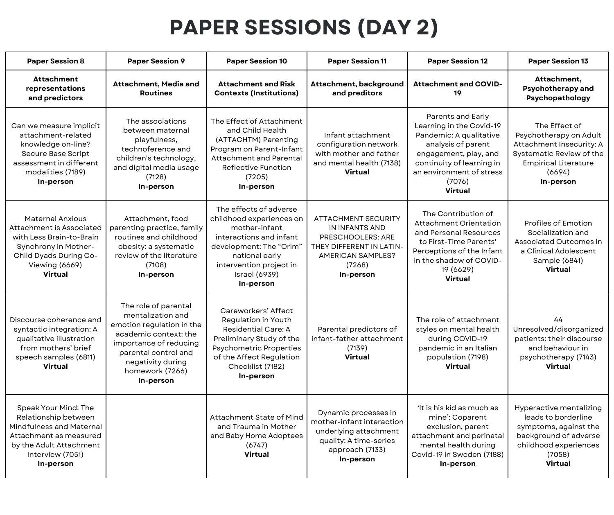#### **PAPER SESSIONS (DAY 2)**

| <b>Paper Session 8</b>                                                                                                                                                | <b>Paper Session 9</b>                                                                                                                                                                                 | <b>Paper Session 10</b>                                                                                                                                                                              | <b>Paper Session 11</b>                                                                                                                          | <b>Paper Session 12</b>                                                                                                                                                                               | <b>Paper Session 13</b>                                                                                                                               |
|-----------------------------------------------------------------------------------------------------------------------------------------------------------------------|--------------------------------------------------------------------------------------------------------------------------------------------------------------------------------------------------------|------------------------------------------------------------------------------------------------------------------------------------------------------------------------------------------------------|--------------------------------------------------------------------------------------------------------------------------------------------------|-------------------------------------------------------------------------------------------------------------------------------------------------------------------------------------------------------|-------------------------------------------------------------------------------------------------------------------------------------------------------|
| <b>Attachment</b><br>representations<br>and predictors                                                                                                                | Attachment, Media and<br><b>Routines</b>                                                                                                                                                               | <b>Attachment and Risk</b><br><b>Contexts (Institutions)</b>                                                                                                                                         | Attachment, background<br>and preditors                                                                                                          | <b>Attachment and COVID-</b><br>19                                                                                                                                                                    | Attachment,<br><b>Psychotherapy and</b><br>Psychopathology                                                                                            |
| Can we measure implicit<br>attachment-related<br>knowledge on-line?<br>Secure Base Script<br>assessment in different<br>modalities (7189)<br>In-person                | The associations<br>between maternal<br>playfulness,<br>technoference and<br>children's technology,<br>and digital media usage<br>(7128)<br>In-person                                                  | The Effect of Attachment<br>and Child Health<br>(ATTACHTM) Parenting<br>Program on Parent-Infant<br><b>Attachment and Parental</b><br><b>Reflective Function</b><br>(7205)<br>In-person              | Infant attachment<br>configuration network<br>with mother and father<br>and mental health (7138)<br>Virtual                                      | Parents and Early<br>Learning in the Covid-19<br>Pandemic: A qualitative<br>analysis of parent<br>engagement, play, and<br>continuity of learning in<br>an environment of stress<br>(7076)<br>Virtual | The Effect of<br>Psychotherapy on Adult<br>Attachment Insecurity: A<br>Systematic Review of the<br><b>Empirical Literature</b><br>(6694)<br>In-person |
| <b>Maternal Anxious</b><br>Attachment is Associated<br>with Less Brain-to-Brain<br>Synchrony in Mother-<br>Child Dyads During Co-<br>Viewing (6669)<br>Virtual        | Attachment, food<br>parenting practice, family<br>routines and childhood<br>obesity: a systematic<br>review of the literature<br>(7108)<br>In-person                                                   | The effects of adverse<br>childhood experiences on<br>mother-infant<br>interactions and infant<br>development: The "Orim"<br>national early<br>intervention project in<br>Israel (6939)<br>In-person | <b>ATTACHMENT SECURITY</b><br>IN INFANTS AND<br>PRESCHOOLERS: ARE<br>THEY DIFFERENT IN LATIN-<br><b>AMERICAN SAMPLES?</b><br>(7268)<br>In-person | The Contribution of<br>Attachment Orientation<br>and Personal Resources<br>to First-Time Parents'<br>Perceptions of the Infant<br>in the shadow of COVID-<br>19 (6629)<br>Virtual                     | <b>Profiles of Emotion</b><br>Socialization and<br>Associated Outcomes in<br>a Clinical Adolescent<br>Sample (6841)<br><b>Virtual</b>                 |
| Discourse coherence and<br>syntactic integration: A<br>qualitative illustration<br>from mothers' brief<br>speech samples (6811)<br>Virtual                            | The role of parental<br>mentalization and<br>emotion regulation in the<br>academic context: the<br>importance of reducing<br>parental control and<br>negativity during<br>homework (7266)<br>In-person | Careworkers' Affect<br>Regulation in Youth<br><b>Residential Care: A</b><br>Preliminary Study of the<br><b>Psychometric Properties</b><br>of the Affect Regulation<br>Checklist (7182)<br>In-person  | Parental predictors of<br>infant-father attachment<br>(7139)<br>Virtual                                                                          | The role of attachment<br>styles on mental health<br>during COVID-19<br>pandemic in an Italian<br>population (7198)<br>Virtual                                                                        | 44<br>Unresolved/disorganized<br>patients: their discourse<br>and behaviour in<br>psychotherapy (7143)<br><b>Virtual</b>                              |
| Speak Your Mind: The<br>Relationship between<br><b>Mindfulness and Maternal</b><br>Attachment as measured<br>by the Adult Attachment<br>Interview (7051)<br>In-person |                                                                                                                                                                                                        | Attachment State of Mind<br>and Trauma in Mother<br>and Baby Home Adoptees<br>(6747)<br>Virtual                                                                                                      | Dynamic processes in<br>mother-infant interaction<br>underlying attachment<br>quality: A time-series<br>approach (7133)<br>In-person             | 'It is his kid as much as<br>mine': Coparent<br>exclusion, parent<br>attachment and perinatal<br>mental health during<br>Covid-19 in Sweden (7188)<br>In-person                                       | Hyperactive mentalizing<br>leads to borderline<br>symptoms, against the<br>background of adverse<br>childhood experiences<br>(7058)<br><b>Virtual</b> |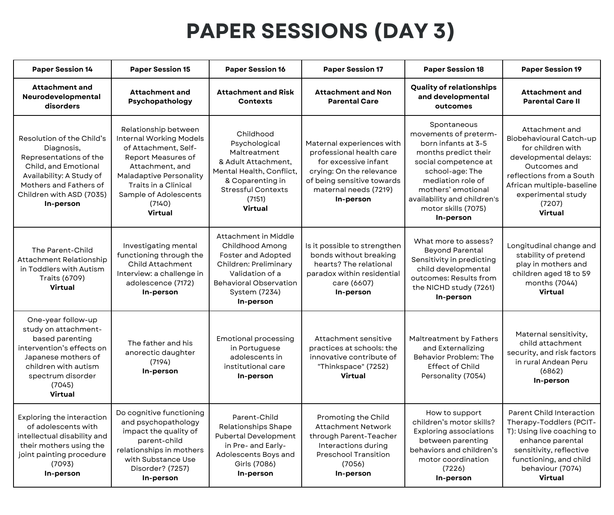## **PAPER SESSIONS (DAY 3)**

| <b>Paper Session 14</b>                                                                                                                                                                  | <b>Paper Session 15</b>                                                                                                                                                                                                         | <b>Paper Session 16</b>                                                                                                                                                  | <b>Paper Session 17</b>                                                                                                                                                       | <b>Paper Session 18</b>                                                                                                                                                                                                                      | <b>Paper Session 19</b>                                                                                                                                                                                     |
|------------------------------------------------------------------------------------------------------------------------------------------------------------------------------------------|---------------------------------------------------------------------------------------------------------------------------------------------------------------------------------------------------------------------------------|--------------------------------------------------------------------------------------------------------------------------------------------------------------------------|-------------------------------------------------------------------------------------------------------------------------------------------------------------------------------|----------------------------------------------------------------------------------------------------------------------------------------------------------------------------------------------------------------------------------------------|-------------------------------------------------------------------------------------------------------------------------------------------------------------------------------------------------------------|
| <b>Attachment and</b><br>Neurodevelopmental<br>disorders                                                                                                                                 | <b>Attachment and</b><br>Psychopathology                                                                                                                                                                                        | <b>Attachment and Risk</b><br><b>Contexts</b>                                                                                                                            | <b>Attachment and Non</b><br><b>Parental Care</b>                                                                                                                             | <b>Quality of relationships</b><br>and developmental<br>outcomes                                                                                                                                                                             | <b>Attachment and</b><br><b>Parental Care II</b>                                                                                                                                                            |
| Resolution of the Child's<br>Diagnosis,<br>Representations of the<br>Child, and Emotional<br>Availability: A Study of<br>Mothers and Fathers of<br>Children with ASD (7035)<br>In-person | Relationship between<br><b>Internal Working Models</b><br>of Attachment, Self-<br>Report Measures of<br>Attachment, and<br><b>Maladaptive Personality</b><br>Traits in a Clinical<br>Sample of Adolescents<br>(7140)<br>Virtual | Childhood<br>Psychological<br>Maltreatment<br>& Adult Attachment.<br>Mental Health, Conflict,<br>& Coparenting in<br><b>Stressful Contexts</b><br>(7151)<br>Virtual      | Maternal experiences with<br>professional health care<br>for excessive infant<br>crying: On the relevance<br>of being sensitive towards<br>maternal needs (7219)<br>In-person | Spontaneous<br>movements of preterm-<br>born infants at 3-5<br>months predict their<br>social competence at<br>school-age: The<br>mediation role of<br>mothers' emotional<br>availability and children's<br>motor skills (7075)<br>In-person | Attachment and<br>Biobehavioural Catch-up<br>for children with<br>developmental delays:<br>Outcomes and<br>reflections from a South<br>African multiple-baseline<br>experimental study<br>(7207)<br>Virtual |
| The Parent-Child<br>Attachment Relationship<br>in Toddlers with Autism<br>Traits (6709)<br>Virtual                                                                                       | Investigating mental<br>functioning through the<br>Child Attachment<br>Interview: a challenge in<br>adolescence (7172)<br>In-person                                                                                             | Attachment in Middle<br>Childhood Among<br>Foster and Adopted<br>Children: Preliminary<br>Validation of a<br><b>Behavioral Observation</b><br>System (7234)<br>In-person | Is it possible to strengthen<br>bonds without breaking<br>hearts? The relational<br>paradox within residential<br>care (6607)<br>In-person                                    | What more to assess?<br><b>Beyond Parental</b><br>Sensitivity in predicting<br>child developmental<br>outcomes: Results from<br>the NICHD study (7261)<br>In-person                                                                          | Longitudinal change and<br>stability of pretend<br>play in mothers and<br>children aged 18 to 59<br>months (7044)<br>Virtual                                                                                |
| One-year follow-up<br>study on attachment-<br>based parenting<br>intervention's effects on<br>Japanese mothers of<br>children with autism<br>spectrum disorder<br>(7045)<br>Virtual      | The father and his<br>anorectic daughter<br>(7194)<br>In-person                                                                                                                                                                 | <b>Emotional processing</b><br>in Portuguese<br>adolescents in<br>institutional care<br>In-person                                                                        | Attachment sensitive<br>practices at schools: the<br>innovative contribute of<br>"Thinkspace" (7252)<br>Virtual                                                               | Maltreatment by Fathers<br>and Externalizing<br>Behavior Problem: The<br><b>Effect of Child</b><br>Personality (7054)                                                                                                                        | Maternal sensitivity,<br>child attachment<br>security, and risk factors<br>in rural Andean Peru<br>(6862)<br>In-person                                                                                      |
| Exploring the interaction<br>of adolescents with<br>intellectual disability and<br>their mothers using the<br>joint painting procedure<br>(7093)<br>In-person                            | Do cognitive functioning<br>and psychopathology<br>impact the quality of<br>parent-child<br>relationships in mothers<br>with Substance Use<br>Disorder? (7257)<br>In-person                                                     | Parent-Child<br>Relationships Shape<br><b>Pubertal Development</b><br>in Pre- and Early-<br>Adolescents Boys and<br>Girls (7086)<br>In-person                            | Promoting the Child<br><b>Attachment Network</b><br>through Parent-Teacher<br>Interactions during<br><b>Preschool Transition</b><br>(7056)<br>In-person                       | How to support<br>children's motor skills?<br>Exploring associations<br>between parenting<br>behaviors and children's<br>motor coordination<br>(7226)<br>In-person                                                                           | Parent Child Interaction<br>Therapy-Toddlers (PCIT-<br>T): Using live coaching to<br>enhance parental<br>sensitivity, reflective<br>functioning, and child<br>behaviour (7074)<br><b>Virtual</b>            |